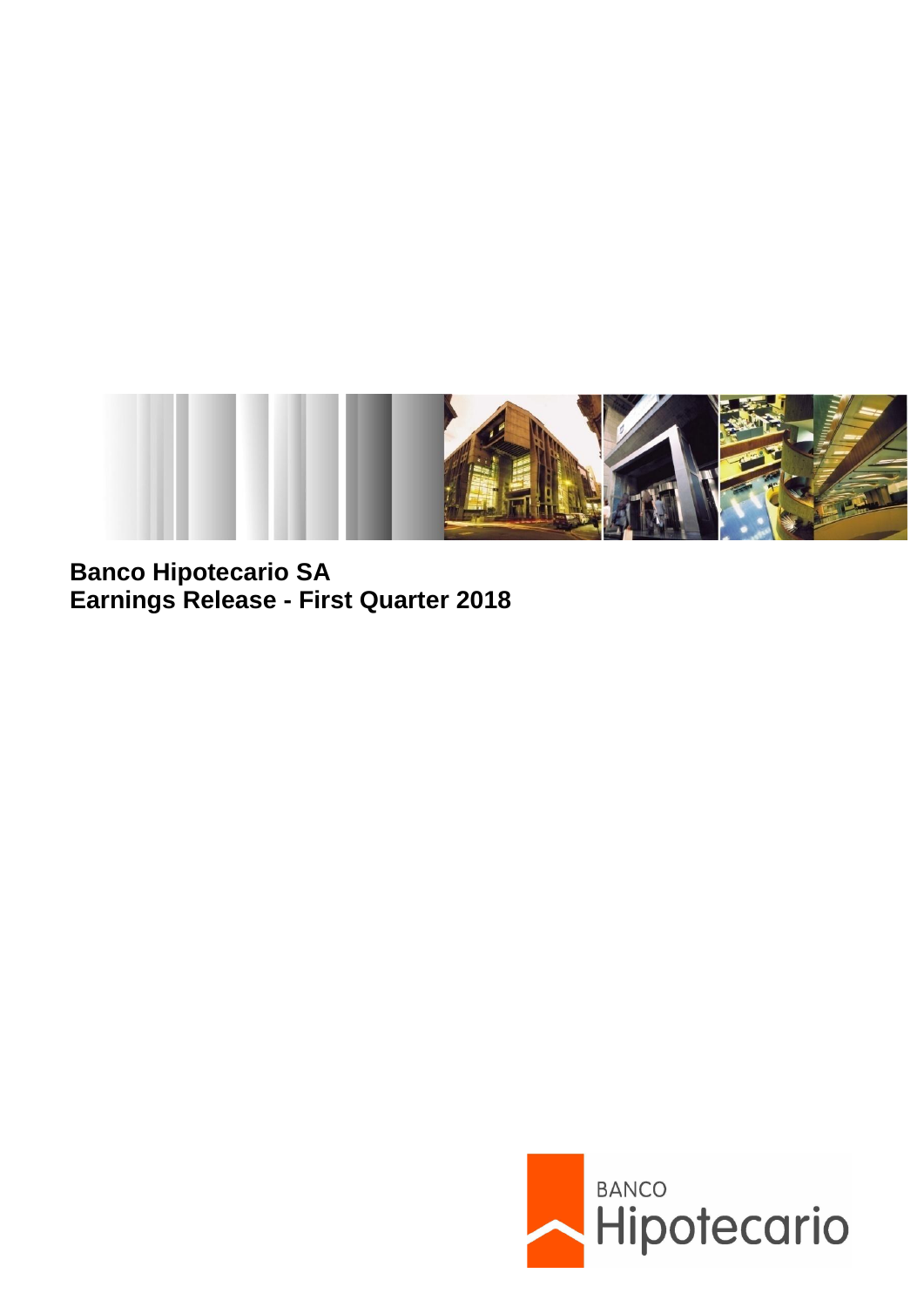

**Banco Hipotecario SA Earnings Release - First Quarter 2018**

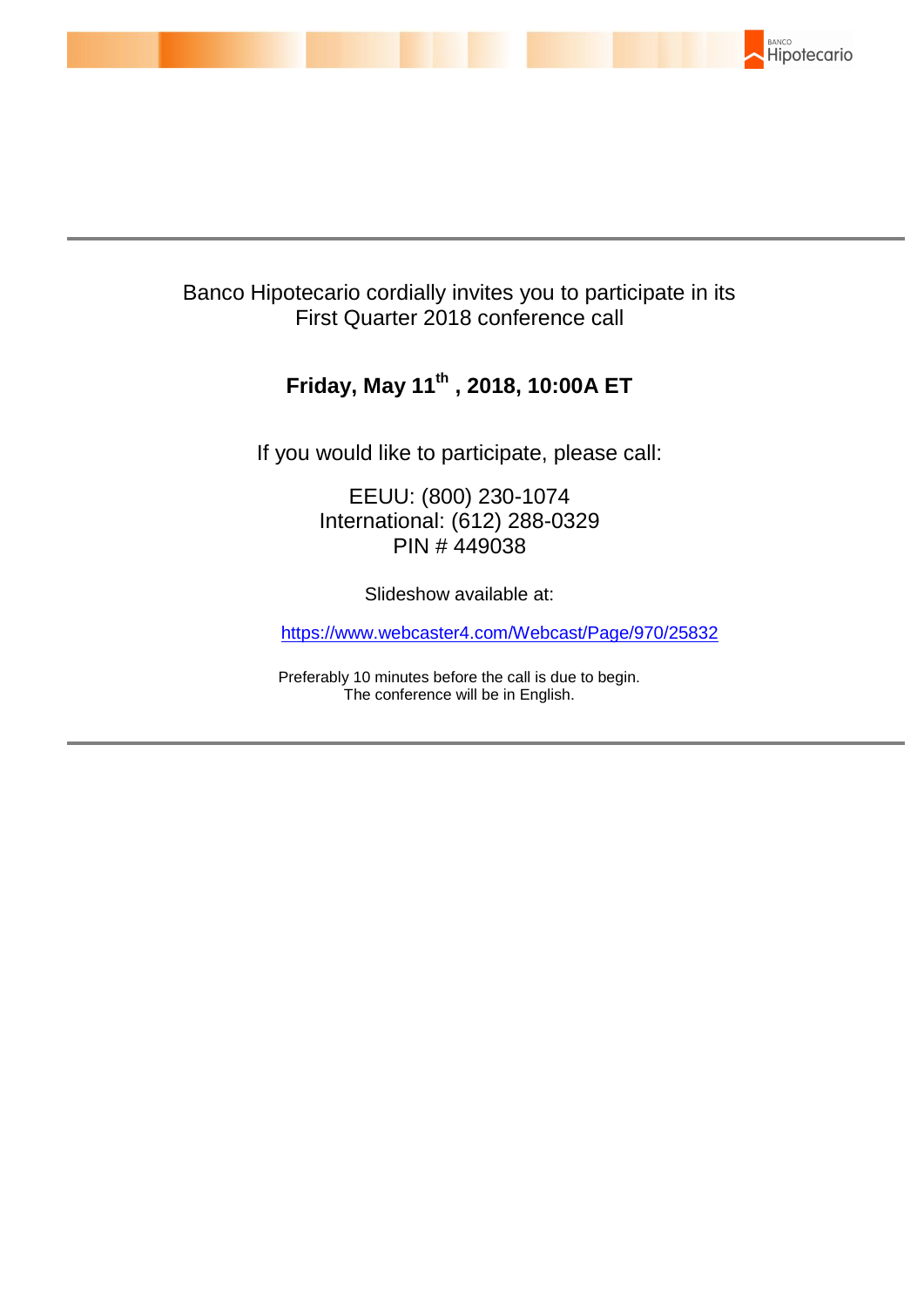

# Banco Hipotecario cordially invites you to participate in its First Quarter 2018 conference call

# **Friday, May 11th , 2018, 10:00A ET**

If you would like to participate, please call:

EEUU: (800) 230-1074 International: (612) 288-0329 PIN # 449038

Slideshow available at:

[https://www.webcaster4.com/Webcast/Page/970/25832](https://na01.safelinks.protection.outlook.com/?url=https%3A%2F%2Fwww.webcaster4.com%2FWebcast%2FPage%2F970%2F25832&data=02%7C01%7CRichard.Dziegielewski%40multivu.com%7C107e0e556191418f7a8608d5b44f6bba%7C887bf9ee3c824b88bcb280d5e169b99b%7C1%7C1%7C636613175561452532&sdata=MuFwF%2B9vVrS6I3SuaNPmiY%2FFzxbM4dLIKofD%2FZOnCTY%3D&reserved=0) 

Preferably 10 minutes before the call is due to begin. The conference will be in English.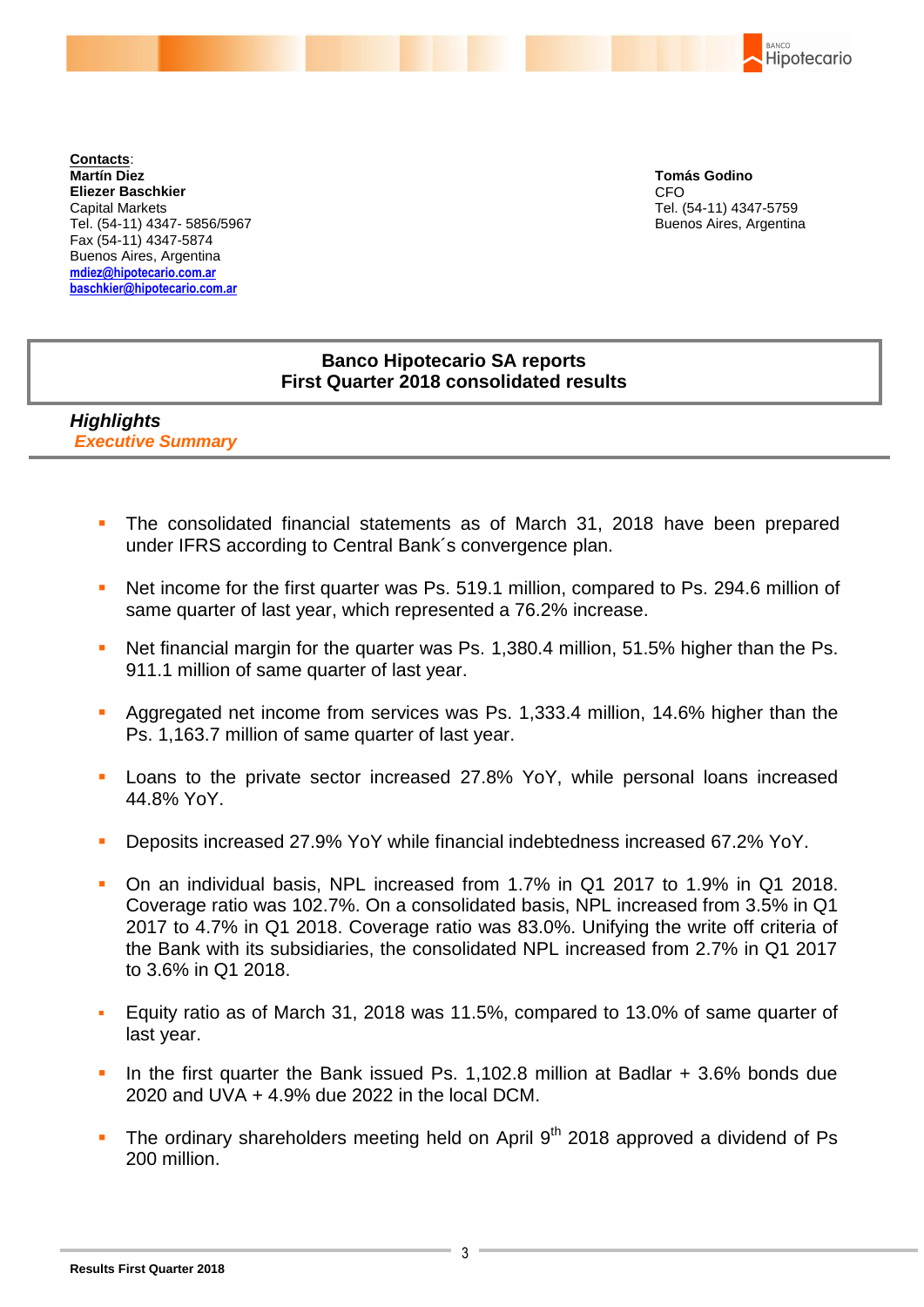BANCO Hipotecario

**Contacts**: **Martín Diez Eliezer Baschkier** Capital Markets Tel. (54-11) 4347- 5856/5967 Fax (54-11) 4347-5874 Buenos Aires, Argentina **mdiez@hipotecario.com.ar [baschkier@hipotecario.com.ar](mailto:baschkier@hipotecario.com.ar)**

**Tomás Godino** CFO Tel. (54-11) 4347-5759 Buenos Aires, Argentina

## **Banco Hipotecario SA reports First Quarter 2018 consolidated results**

*Highlights Executive Summary*

- The consolidated financial statements as of March 31, 2018 have been prepared under IFRS according to Central Bank´s convergence plan.
- Net income for the first quarter was Ps. 519.1 million, compared to Ps. 294.6 million of same quarter of last year, which represented a 76.2% increase.
- Net financial margin for the quarter was Ps. 1,380.4 million, 51.5% higher than the Ps. 911.1 million of same quarter of last year.
- Aggregated net income from services was Ps. 1,333.4 million, 14.6% higher than the Ps. 1,163.7 million of same quarter of last year.
- **Loans to the private sector increased 27.8% YoY, while personal loans increased** 44.8% YoY.
- Deposits increased 27.9% YoY while financial indebtedness increased 67.2% YoY.
- On an individual basis, NPL increased from 1.7% in Q1 2017 to 1.9% in Q1 2018. Coverage ratio was 102.7%. On a consolidated basis, NPL increased from 3.5% in Q1 2017 to 4.7% in Q1 2018. Coverage ratio was 83.0%. Unifying the write off criteria of the Bank with its subsidiaries, the consolidated NPL increased from 2.7% in Q1 2017 to 3.6% in Q1 2018.
- Equity ratio as of March 31, 2018 was 11.5%, compared to 13.0% of same quarter of last year.
- In the first quarter the Bank issued Ps. 1,102.8 million at Badlar + 3.6% bonds due 2020 and UVA + 4.9% due 2022 in the local DCM.
- The ordinary shareholders meeting held on April  $9<sup>th</sup>$  2018 approved a dividend of Ps 200 million.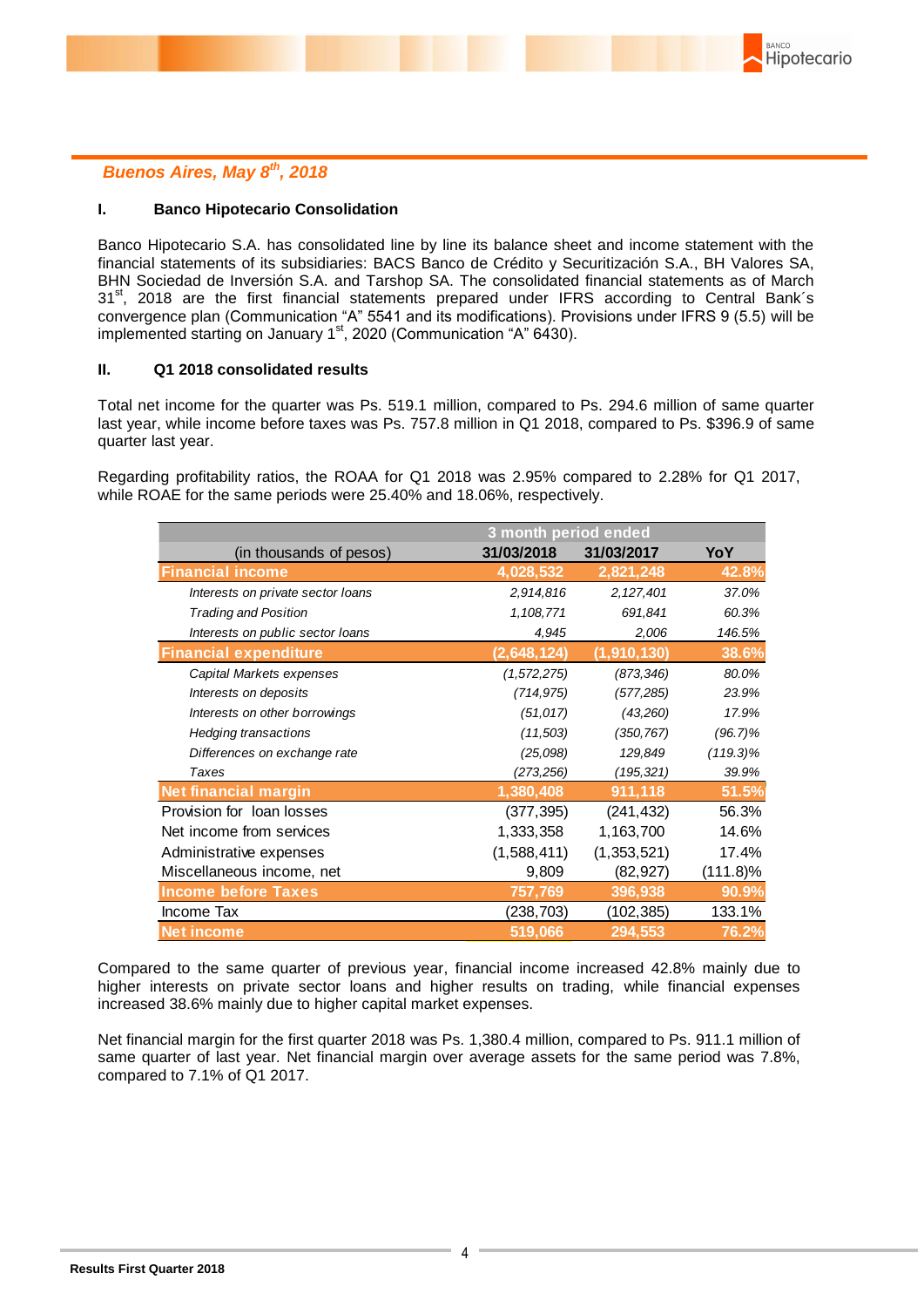## *Buenos Aires, May 8th, 2018*

#### **I. Banco Hipotecario Consolidation**

Banco Hipotecario S.A. has consolidated line by line its balance sheet and income statement with the financial statements of its subsidiaries: BACS Banco de Crédito y Securitización S.A., BH Valores SA, BHN Sociedad de Inversión S.A. and Tarshop SA. The consolidated financial statements as of March 31<sup>st</sup>, 2018 are the first financial statements prepared under IFRS according to Central Bank's convergence plan (Communication "A" 5541 and its modifications). Provisions under IFRS 9 (5.5) will be implemented starting on January  $1<sup>st</sup>$ , 2020 (Communication "A" 6430).

#### **II. Q1 2018 consolidated results**

Total net income for the quarter was Ps. 519.1 million, compared to Ps. 294.6 million of same quarter last year, while income before taxes was Ps. 757.8 million in Q1 2018, compared to Ps. \$396.9 of same quarter last year.

Regarding profitability ratios, the ROAA for Q1 2018 was 2.95% compared to 2.28% for Q1 2017, while ROAE for the same periods were 25.40% and 18.06%, respectively.

|                                   | 3 month period ended |               |             |  |  |  |  |
|-----------------------------------|----------------------|---------------|-------------|--|--|--|--|
| (in thousands of pesos)           | 31/03/2018           | 31/03/2017    | YoY         |  |  |  |  |
| <b>Financial income</b>           | 4,028,532            | 2,821,248     | 42.8%       |  |  |  |  |
| Interests on private sector loans | 2,914,816            | 2,127,401     | 37.0%       |  |  |  |  |
| <b>Trading and Position</b>       | 1,108,771            | 691,841       | 60.3%       |  |  |  |  |
| Interests on public sector loans  | 4,945                | 2,006         | 146.5%      |  |  |  |  |
| <b>Financial expenditure</b>      | (2,648,124)          | (1, 910, 130) | 38.6%       |  |  |  |  |
| Capital Markets expenses          | (1,572,275)          | (873, 346)    | 80.0%       |  |  |  |  |
| Interests on deposits             | (714, 975)           | (577, 285)    | 23.9%       |  |  |  |  |
| Interests on other borrowings     | (51, 017)            | (43,260)      | 17.9%       |  |  |  |  |
| <b>Hedging transactions</b>       | (11,503)             | (350, 767)    | $(96.7)\%$  |  |  |  |  |
| Differences on exchange rate      | (25,098)             | 129,849       | $(119.3)\%$ |  |  |  |  |
| Taxes                             | (273, 256)           | (195, 321)    | 39.9%       |  |  |  |  |
| <b>Net financial margin</b>       | 1,380,408            | 911,118       | 51.5%       |  |  |  |  |
| Provision for loan losses         | (377,395)            | (241, 432)    | 56.3%       |  |  |  |  |
| Net income from services          | 1,333,358            | 1,163,700     | 14.6%       |  |  |  |  |
| Administrative expenses           | (1,588,411)          | (1,353,521)   | 17.4%       |  |  |  |  |
| Miscellaneous income, net         | 9,809                | (82, 927)     | $(111.8)\%$ |  |  |  |  |
| <b>Income before Taxes</b>        | 757,769              | 396,938       | 90.9%       |  |  |  |  |
| Income Tax                        | (238, 703)           | (102, 385)    | 133.1%      |  |  |  |  |
| <b>Net income</b>                 | 519,066              | 294,553       | 76.2%       |  |  |  |  |

Compared to the same quarter of previous year, financial income increased 42.8% mainly due to higher interests on private sector loans and higher results on trading, while financial expenses increased 38.6% mainly due to higher capital market expenses.

Net financial margin for the first quarter 2018 was Ps. 1,380.4 million, compared to Ps. 911.1 million of same quarter of last year. Net financial margin over average assets for the same period was 7.8%, compared to 7.1% of Q1 2017.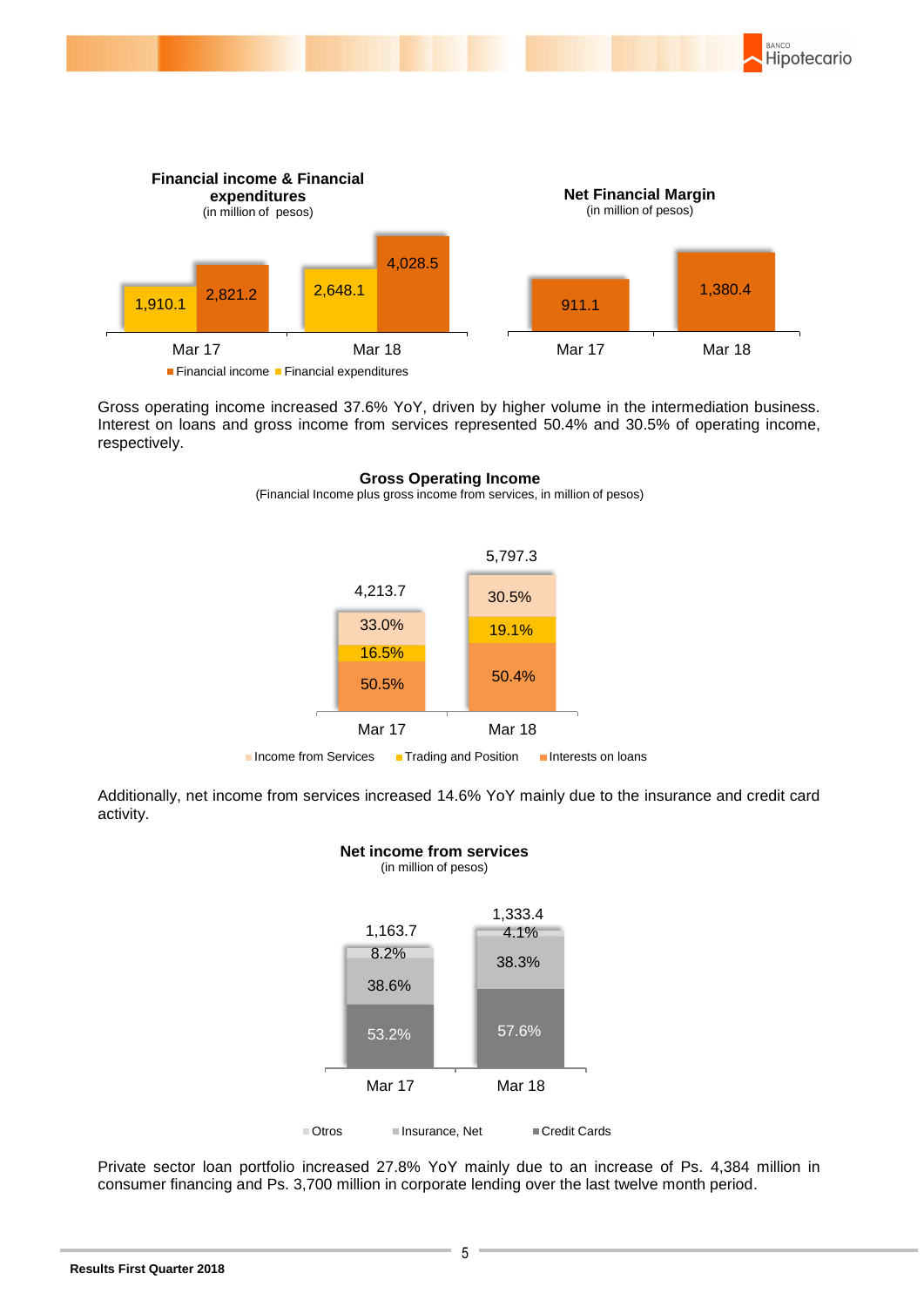

Gross operating income increased 37.6% YoY, driven by higher volume in the intermediation business. Interest on loans and gross income from services represented 50.4% and 30.5% of operating income, respectively.



#### **Gross Operating Income**

(Financial Income plus gross income from services, in million of pesos)

Additionally, net income from services increased 14.6% YoY mainly due to the insurance and credit card activity.

**Net income from services**



 Private sector loan portfolio increased 27.8% YoY mainly due to an increase of Ps. 4,384 million in consumer financing and Ps. 3,700 million in corporate lending over the last twelve month period.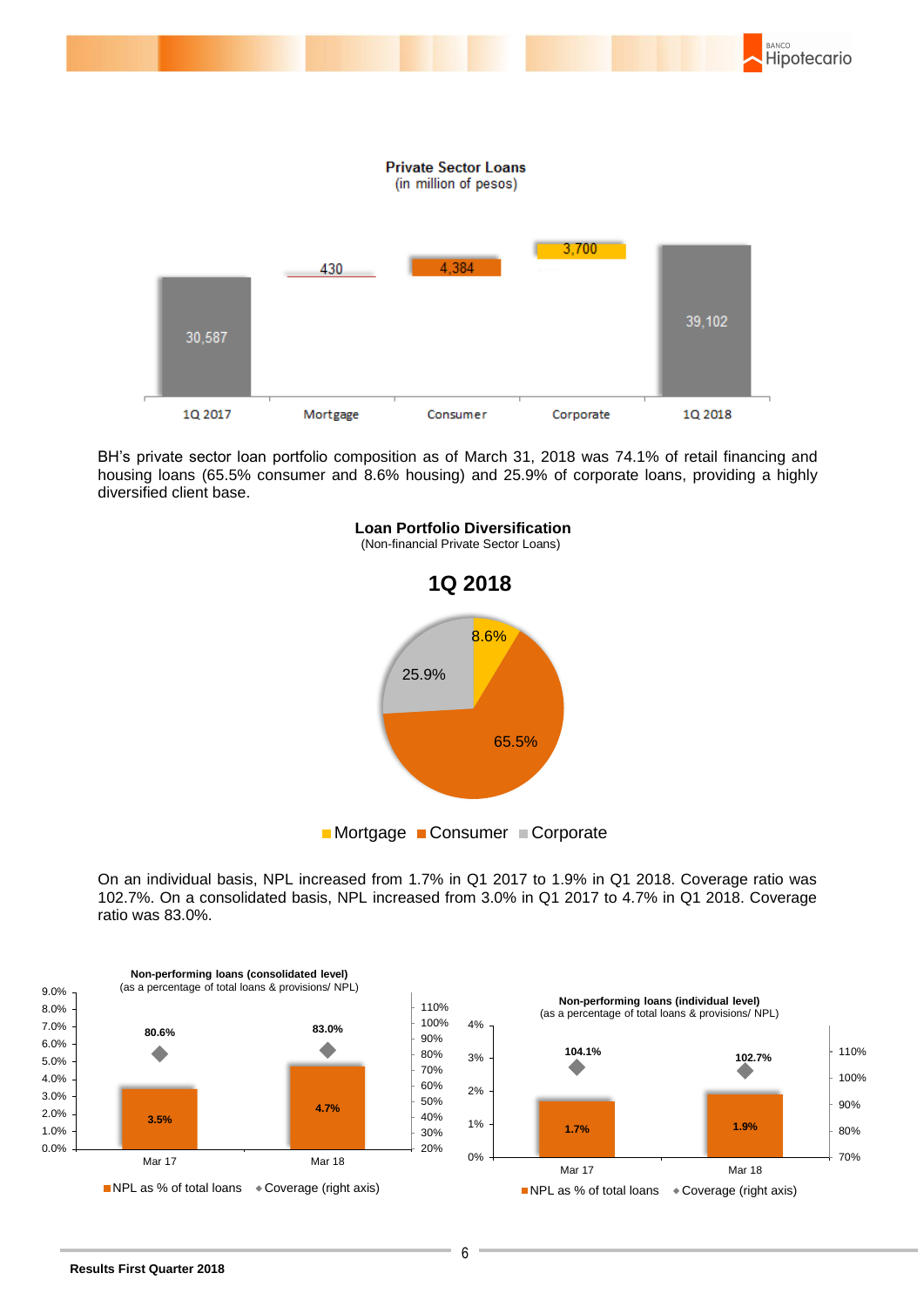

BH's private sector loan portfolio composition as of March 31, 2018 was 74.1% of retail financing and housing loans (65.5% consumer and 8.6% housing) and 25.9% of corporate loans, providing a highly diversified client base.



 On an individual basis, NPL increased from 1.7% in Q1 2017 to 1.9% in Q1 2018. Coverage ratio was 102.7%. On a consolidated basis, NPL increased from 3.0% in Q1 2017 to 4.7% in Q1 2018. Coverage ratio was 83.0%.



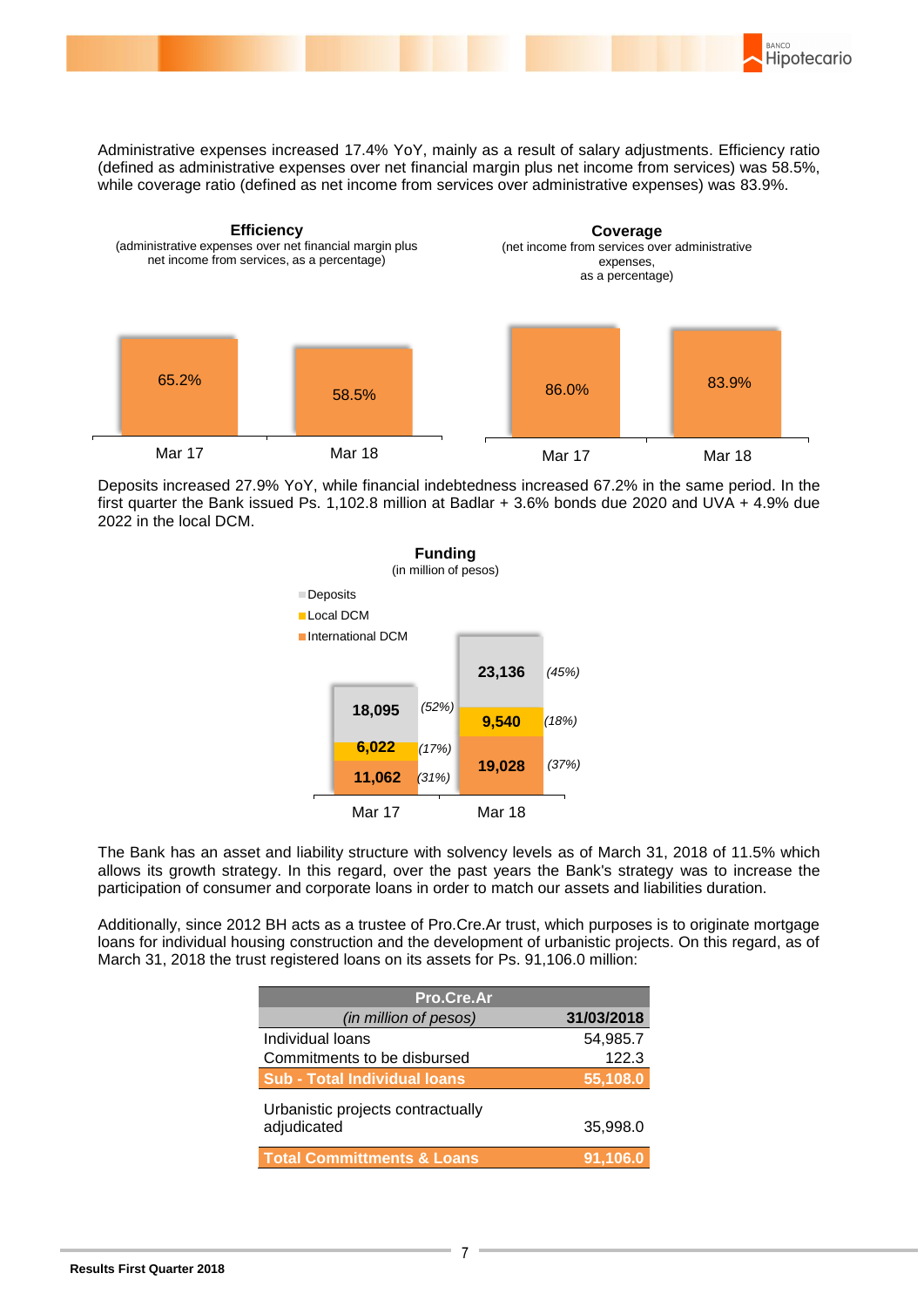

Administrative expenses increased 17.4% YoY, mainly as a result of salary adjustments. Efficiency ratio (defined as administrative expenses over net financial margin plus net income from services) was 58.5%, while coverage ratio (defined as net income from services over administrative expenses) was 83.9%.



Deposits increased 27.9% YoY, while financial indebtedness increased 67.2% in the same period. In the first quarter the Bank issued Ps. 1,102.8 million at Badlar + 3.6% bonds due 2020 and UVA + 4.9% due 2022 in the local DCM.



 The Bank has an asset and liability structure with solvency levels as of March 31, 2018 of 11.5% which allows its growth strategy. In this regard, over the past years the Bank's strategy was to increase the participation of consumer and corporate loans in order to match our assets and liabilities duration.

Additionally, since 2012 BH acts as a trustee of Pro.Cre.Ar trust, which purposes is to originate mortgage loans for individual housing construction and the development of urbanistic projects. On this regard, as of March 31, 2018 the trust registered loans on its assets for Ps. 91,106.0 million:

| Pro.Cre.Ar                                       |                        |  |  |  |  |
|--------------------------------------------------|------------------------|--|--|--|--|
| (in million of pesos)                            | 31/03/2018             |  |  |  |  |
| Individual loans                                 | 54,985.7               |  |  |  |  |
| Commitments to be disbursed                      | 122.3                  |  |  |  |  |
| <b>Sub - Total Individual loans</b>              | $\overline{.55,108.0}$ |  |  |  |  |
| Urbanistic projects contractually<br>adjudicated | 35,998.0               |  |  |  |  |
| <b>Total Committments &amp; Loans</b>            | 91.106.0               |  |  |  |  |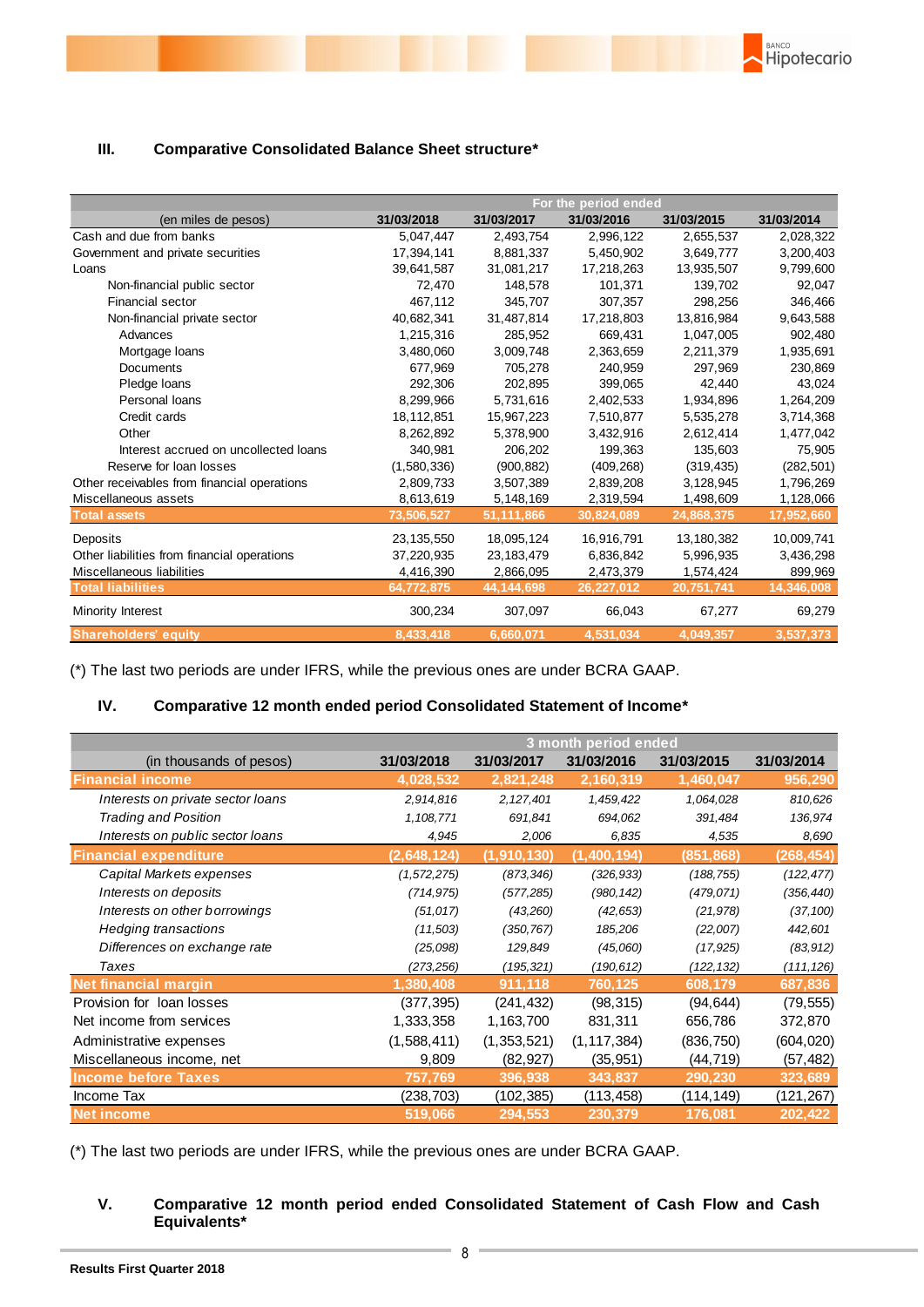### **III. Comparative Consolidated Balance Sheet structure\***

|                                             | For the period ended |            |            |            |            |
|---------------------------------------------|----------------------|------------|------------|------------|------------|
| (en miles de pesos)                         | 31/03/2018           | 31/03/2017 | 31/03/2016 | 31/03/2015 | 31/03/2014 |
| Cash and due from banks                     | 5,047,447            | 2,493,754  | 2,996,122  | 2,655,537  | 2,028,322  |
| Government and private securities           | 17,394,141           | 8,881,337  | 5,450,902  | 3,649,777  | 3,200,403  |
| Loans                                       | 39,641,587           | 31,081,217 | 17,218,263 | 13,935,507 | 9,799,600  |
| Non-financial public sector                 | 72,470               | 148,578    | 101,371    | 139,702    | 92,047     |
| Financial sector                            | 467,112              | 345,707    | 307,357    | 298,256    | 346,466    |
| Non-financial private sector                | 40.682.341           | 31,487,814 | 17,218,803 | 13,816,984 | 9,643,588  |
| Advances                                    | 1,215,316            | 285,952    | 669,431    | 1,047,005  | 902,480    |
| Mortgage loans                              | 3,480,060            | 3,009,748  | 2,363,659  | 2,211,379  | 1,935,691  |
| <b>Documents</b>                            | 677,969              | 705,278    | 240,959    | 297,969    | 230,869    |
| Pledge loans                                | 292.306              | 202.895    | 399,065    | 42.440     | 43,024     |
| Personal loans                              | 8.299.966            | 5,731,616  | 2.402.533  | 1.934.896  | 1,264,209  |
| Credit cards                                | 18,112,851           | 15,967,223 | 7,510,877  | 5,535,278  | 3,714,368  |
| Other                                       | 8,262,892            | 5,378,900  | 3,432,916  | 2,612,414  | 1,477,042  |
| Interest accrued on uncollected loans       | 340,981              | 206,202    | 199,363    | 135,603    | 75,905     |
| Reserve for loan losses                     | (1,580,336)          | (900, 882) | (409, 268) | (319, 435) | (282, 501) |
| Other receivables from financial operations | 2,809,733            | 3,507,389  | 2,839,208  | 3,128,945  | 1,796,269  |
| Miscellaneous assets                        | 8,613,619            | 5,148,169  | 2,319,594  | 1,498,609  | 1,128,066  |
| <b>Total assets</b>                         | 73,506,527           | 51,111,866 | 30,824,089 | 24,868,375 | 17,952,660 |
| Deposits                                    | 23,135,550           | 18,095,124 | 16,916,791 | 13,180,382 | 10,009,741 |
| Other liabilities from financial operations | 37,220,935           | 23,183,479 | 6,836,842  | 5,996,935  | 3,436,298  |
| Miscellaneous liabilities                   | 4,416,390            | 2,866,095  | 2,473,379  | 1,574,424  | 899,969    |
| <b>Total liabilities</b>                    | 64,772,875           | 44,144,698 | 26,227,012 | 20,751,741 | 14,346,008 |
| Minority Interest                           | 300,234              | 307,097    | 66,043     | 67,277     | 69,279     |
| <b>Shareholders' equity</b>                 | 8,433,418            | 6,660,071  | 4,531,034  | 4,049,357  | 3,537,373  |

BANCO

Hipotecario

(\*) The last two periods are under IFRS, while the previous ones are under BCRA GAAP.

## **IV. Comparative 12 month ended period Consolidated Statement of Income\***

|                                   | 3 month period ended |             |               |            |            |
|-----------------------------------|----------------------|-------------|---------------|------------|------------|
| (in thousands of pesos)           | 31/03/2018           | 31/03/2017  | 31/03/2016    | 31/03/2015 | 31/03/2014 |
| <b>Financial income</b>           | 4,028,532            | 2,821,248   | 2,160,319     | 1,460,047  | 956,290    |
| Interests on private sector loans | 2,914,816            | 2, 127, 401 | 1,459,422     | 1,064,028  | 810,626    |
| <b>Trading and Position</b>       | 1,108,771            | 691,841     | 694,062       | 391,484    | 136,974    |
| Interests on public sector loans  | 4,945                | 2,006       | 6,835         | 4,535      | 8,690      |
| <b>Financial expenditure</b>      | (2,648,124)          | (1,910,130) | (1,400,194)   | (851, 868) | (268,454)  |
| Capital Markets expenses          | (1, 572, 275)        | (873, 346)  | (326, 933)    | (188, 755) | (122, 477) |
| Interests on deposits             | (714, 975)           | (577, 285)  | (980, 142)    | (479, 071) | (356, 440) |
| Interests on other borrowings     | (51, 017)            | (43,260)    | (42, 653)     | (21, 978)  | (37, 100)  |
| <b>Hedging transactions</b>       | (11,503)             | (350, 767)  | 185,206       | (22,007)   | 442,601    |
| Differences on exchange rate      | (25,098)             | 129,849     | (45,060)      | (17, 925)  | (83, 912)  |
| Taxes                             | (273,256)            | (195, 321)  | (190, 612)    | (122, 132) | (111, 126) |
| <b>Net financial margin</b>       | 1,380,408            | 911,118     | 760,125       | 608,179    | 687,836    |
| Provision for loan losses         | (377, 395)           | (241, 432)  | (98, 315)     | (94, 644)  | (79, 555)  |
| Net income from services          | 1,333,358            | 1,163,700   | 831,311       | 656,786    | 372,870    |
| Administrative expenses           | (1,588,411)          | (1,353,521) | (1, 117, 384) | (836, 750) | (604, 020) |
| Miscellaneous income, net         | 9,809                | (82, 927)   | (35, 951)     | (44,719)   | (57, 482)  |
| <b>Income before Taxes</b>        | 757,769              | 396,938     | 343,837       | 290,230    | 323,689    |
| Income Tax                        | (238, 703)           | (102,385)   | (113, 458)    | (114,149)  | (121, 267) |
| <b>Net income</b>                 | 519,066              | 294,553     | 230,379       | 176,081    | 202,422    |

(\*) The last two periods are under IFRS, while the previous ones are under BCRA GAAP.

#### **V. Comparative 12 month period ended Consolidated Statement of Cash Flow and Cash Equivalents\***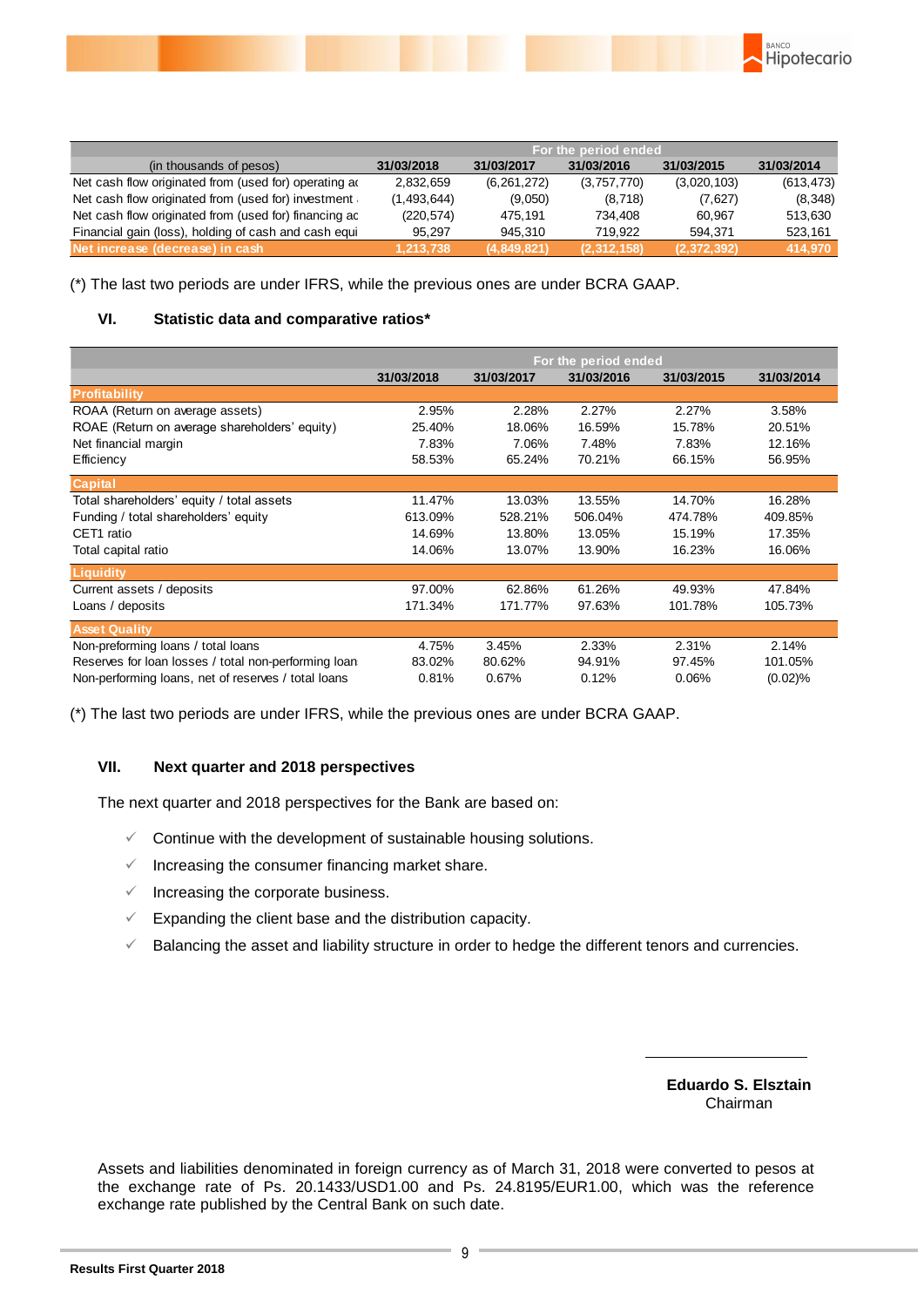

|                                                       | For the period ended |               |             |             |            |
|-------------------------------------------------------|----------------------|---------------|-------------|-------------|------------|
| (in thousands of pesos)                               | 31/03/2018           | 31/03/2017    | 31/03/2016  | 31/03/2015  | 31/03/2014 |
| Net cash flow originated from (used for) operating a  | 2,832,659            | (6, 261, 272) | (3,757,770) | (3,020,103) | (613, 473) |
| Net cash flow originated from (used for) investment   | (1,493,644)          | (9,050)       | (8,718)     | (7,627)     | (8,348)    |
| Net cash flow originated from (used for) financing ac | (220, 574)           | 475.191       | 734.408     | 60.967      | 513.630    |
| Financial gain (loss), holding of cash and cash equi- | 95.297               | 945.310       | 719.922     | 594.371     | 523,161    |
| Net increase (decrease) in cash                       | 1.213.738            | (4,849,821)   | (2,312,158) | (2,372,392) | 414,970    |

(\*) The last two periods are under IFRS, while the previous ones are under BCRA GAAP.

#### **VI. Statistic data and comparative ratios\***

|                                                      | For the period ended |            |            |            |            |
|------------------------------------------------------|----------------------|------------|------------|------------|------------|
|                                                      | 31/03/2018           | 31/03/2017 | 31/03/2016 | 31/03/2015 | 31/03/2014 |
| <b>Profitability</b>                                 |                      |            |            |            |            |
| ROAA (Return on average assets)                      | 2.95%                | 2.28%      | 2.27%      | 2.27%      | 3.58%      |
| ROAE (Return on average shareholders' equity)        | 25.40%               | 18.06%     | 16.59%     | 15.78%     | 20.51%     |
| Net financial margin                                 | 7.83%                | 7.06%      | 7.48%      | 7.83%      | 12.16%     |
| Efficiency                                           | 58.53%               | 65.24%     | 70.21%     | 66.15%     | 56.95%     |
| <b>Capital</b>                                       |                      |            |            |            |            |
| Total shareholders' equity / total assets            | 11.47%               | 13.03%     | 13.55%     | 14.70%     | 16.28%     |
| Funding / total shareholders' equity                 | 613.09%              | 528.21%    | 506.04%    | 474.78%    | 409.85%    |
| CET1 ratio                                           | 14.69%               | 13.80%     | 13.05%     | 15.19%     | 17.35%     |
| Total capital ratio                                  | 14.06%               | 13.07%     | 13.90%     | 16.23%     | 16.06%     |
| Liquidity                                            |                      |            |            |            |            |
| Current assets / deposits                            | 97.00%               | 62.86%     | 61.26%     | 49.93%     | 47.84%     |
| Loans / deposits                                     | 171.34%              | 171.77%    | 97.63%     | 101.78%    | 105.73%    |
| <b>Asset Quality</b>                                 |                      |            |            |            |            |
| Non-preforming loans / total loans                   | 4.75%                | 3.45%      | 2.33%      | 2.31%      | 2.14%      |
| Reserves for loan losses / total non-performing loan | 83.02%               | 80.62%     | 94.91%     | 97.45%     | 101.05%    |
| Non-performing loans, net of reserves / total loans  | 0.81%                | 0.67%      | 0.12%      | 0.06%      | (0.02)%    |

(\*) The last two periods are under IFRS, while the previous ones are under BCRA GAAP.

#### **VII. Next quarter and 2018 perspectives**

The next quarter and 2018 perspectives for the Bank are based on:

- $\checkmark$  Continue with the development of sustainable housing solutions.
- $\checkmark$  Increasing the consumer financing market share.
- $\checkmark$  Increasing the corporate business.
- $\checkmark$  Expanding the client base and the distribution capacity.
- $\checkmark$  Balancing the asset and liability structure in order to hedge the different tenors and currencies.

**Eduardo S. Elsztain** Chairman

Assets and liabilities denominated in foreign currency as of March 31, 2018 were converted to pesos at the exchange rate of Ps. 20.1433/USD1.00 and Ps. 24.8195/EUR1.00, which was the reference exchange rate published by the Central Bank on such date.